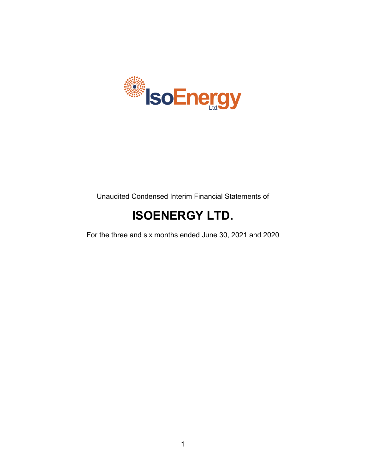

Unaudited Condensed Interim Financial Statements of

# **ISOENERGY LTD.**

For the three and six months ended June 30, 2021 and 2020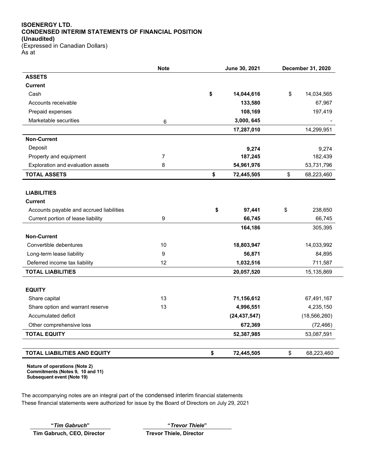# **ISOENERGY LTD. CONDENSED INTERIM STATEMENTS OF FINANCIAL POSITION (Unaudited)**

(Expressed in Canadian Dollars) As at

|                                          | <b>Note</b> | June 30, 2021 |                | December 31, 2020 |                |
|------------------------------------------|-------------|---------------|----------------|-------------------|----------------|
| <b>ASSETS</b>                            |             |               |                |                   |                |
| <b>Current</b>                           |             |               |                |                   |                |
| Cash                                     |             | \$            | 14,044,616     | \$                | 14,034,565     |
| Accounts receivable                      |             |               | 133,580        |                   | 67,967         |
| Prepaid expenses                         |             |               | 108,169        |                   | 197,419        |
| Marketable securities                    | $\,6\,$     |               | 3,000, 645     |                   |                |
|                                          |             |               | 17,287,010     |                   | 14,299,951     |
| <b>Non-Current</b>                       |             |               |                |                   |                |
| Deposit                                  |             |               | 9,274          |                   | 9,274          |
| Property and equipment                   | 7           |               | 187,245        |                   | 182,439        |
| Exploration and evaluation assets        | 8           |               | 54,961,976     |                   | 53,731,796     |
| <b>TOTAL ASSETS</b>                      |             | \$            | 72,445,505     | \$                | 68,223,460     |
|                                          |             |               |                |                   |                |
| <b>LIABILITIES</b>                       |             |               |                |                   |                |
| <b>Current</b>                           |             |               |                |                   |                |
| Accounts payable and accrued liabilities |             | \$            | 97,441         | \$                | 238,650        |
| Current portion of lease liability       | 9           |               | 66,745         |                   | 66,745         |
|                                          |             |               | 164,186        |                   | 305,395        |
| <b>Non-Current</b>                       |             |               |                |                   |                |
| Convertible debentures                   | 10          |               | 18,803,947     |                   | 14,033,992     |
| Long-term lease liability                | 9           |               | 56,871         |                   | 84,895         |
| Deferred income tax liability            | 12          |               | 1,032,516      |                   | 711,587        |
| <b>TOTAL LIABILITIES</b>                 |             |               | 20,057,520     |                   | 15,135,869     |
|                                          |             |               |                |                   |                |
| <b>EQUITY</b>                            |             |               |                |                   |                |
| Share capital                            | 13          |               | 71,156,612     |                   | 67,491,167     |
| Share option and warrant reserve         | 13          |               | 4,996,551      |                   | 4,235,150      |
| Accumulated deficit                      |             |               | (24, 437, 547) |                   | (18, 566, 260) |
| Other comprehensive loss                 |             |               | 672,369        |                   | (72, 466)      |
| <b>TOTAL EQUITY</b>                      |             |               | 52,387,985     |                   | 53,087,591     |
|                                          |             |               |                |                   |                |
| TOTAL LIABILITIES AND EQUITY             |             | \$            | 72,445,505     | \$                | 68,223,460     |

 $\overline{\phantom{a}}$ 

**Nature of operations (Note 2) Commitments (Notes 9, 10 and 11) Subsequent event (Note 19)**

The accompanying notes are an integral part of the condensed interim financial statements These financial statements were authorized for issue by the Board of Directors on July 29, 2021

**Tim Gabruch, CEO, Director Trevor Thiele, Director**

**"***Tim Gabruch***" "***Trevor Thiele***"**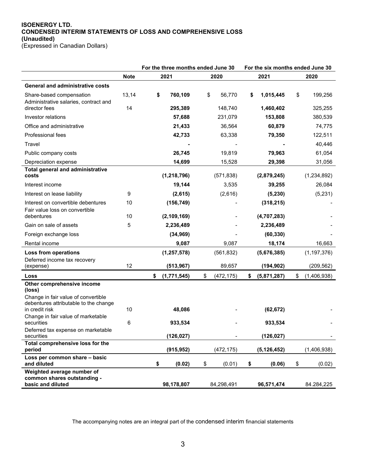#### **ISOENERGY LTD. CONDENSED INTERIM STATEMENTS OF LOSS AND COMPREHENSIVE LOSS (Unaudited)** (Expressed in Canadian Dollars)

|                                                                      |             | For the three months ended June 30 |              | For the six months ended June 30 |               |
|----------------------------------------------------------------------|-------------|------------------------------------|--------------|----------------------------------|---------------|
|                                                                      | <b>Note</b> | 2021                               | 2020         | 2021                             | 2020          |
| <b>General and administrative costs</b>                              |             |                                    |              |                                  |               |
| Share-based compensation<br>Administrative salaries, contract and    | 13,14       | \$<br>760,109                      | \$<br>56,770 | \$<br>1,015,445                  | \$<br>199,256 |
| director fees                                                        | 14          | 295,389                            | 148,740      | 1,460,402                        | 325,255       |
| Investor relations                                                   |             | 57,688                             | 231,079      | 153,808                          | 380,539       |
| Office and administrative                                            |             | 21,433                             | 36,564       | 60,879                           | 74,775        |
| <b>Professional fees</b>                                             |             | 42,733                             | 63,338       | 79,350                           | 122,511       |
| Travel                                                               |             |                                    |              |                                  | 40,446        |
| Public company costs                                                 |             | 26,745                             | 19,819       | 79,963                           | 61,054        |
| Depreciation expense                                                 |             | 14,699                             | 15,528       | 29,398                           | 31,056        |
| Total general and administrative<br>costs                            |             | (1, 218, 796)                      | (571, 838)   | (2,879,245)                      | (1, 234, 892) |
| Interest income                                                      |             | 19,144                             | 3,535        | 39,255                           | 26,084        |
| Interest on lease liability                                          | 9           | (2,615)                            | (2,616)      | (5, 230)                         | (5,231)       |
| Interest on convertible debentures<br>Fair value loss on convertible | 10          | (156, 749)                         |              | (318, 215)                       |               |
| debentures                                                           | 10          | (2, 109, 169)                      |              | (4,707,283)                      |               |
| Gain on sale of assets                                               | 5           | 2,236,489                          |              | 2,236,489                        |               |
| Foreign exchange loss                                                |             | (34, 969)                          |              | (60, 330)                        |               |
| Rental income                                                        |             | 9,087                              | 9,087        | 18,174                           | 16,663        |

Deferred income tax recovery<br>(expense)

**Other comprehensive income**

Change in fair value of convertible debentures attributable to the change<br>in credit risk

**(loss)**

| Change in fair value of marketable |   |              |              |             |              |
|------------------------------------|---|--------------|--------------|-------------|--------------|
| securities                         | 6 | 933,534      |              | 933.534     |              |
| Deferred tax expense on marketable |   |              |              |             |              |
| securities                         |   | (126,027)    |              | (126,027)   |              |
| Total comprehensive loss for the   |   |              |              |             |              |
| period                             |   | (915, 952)   | (472,175)    | (5.126.452) | (1,406,938)  |
| Loss per common share - basic      |   |              |              |             |              |
| and diluted                        |   | \$<br>(0.02) | \$<br>(0.01) | (0.06)      | \$<br>(0.02) |
| Weighted average number of         |   |              |              |             |              |
| common shares outstanding -        |   |              |              |             |              |
| basic and diluted                  |   | 98,178,807   | 84,298,491   | 96,571,474  | 84.284.225   |

**Loss from operations (1,257,578)** (561,832) **(5,676,385)** (1,197,376)

(expense) 12 **(513,967)** 89,657 **(194,902)** (209,562) **Loss \$ (1,771,545)** \$ (472,175) **\$ (5,871,287)** \$ (1,406,938)

in credit risk 10 **48,086** - **(62,672)** -

The accompanying notes are an integral part of the condensed interim financial statements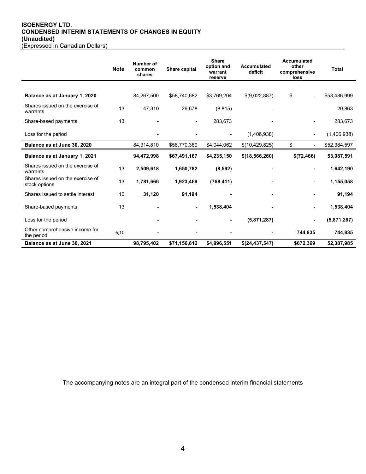# **ISOENERGY LTD. CONDENSED INTERIM STATEMENTS OF CHANGES IN EQUITY (Unaudited)**

| (Expressed in Canadian Dollars) |
|---------------------------------|
|---------------------------------|

|                                                   | <b>Note</b> | Number of<br>common<br>shares | Share capital  | <b>Share</b><br>option and<br>warrant<br>reserve | Accumulated<br>deficit | <b>Accumulated</b><br>other<br>comprehensive<br>loss | Total        |
|---------------------------------------------------|-------------|-------------------------------|----------------|--------------------------------------------------|------------------------|------------------------------------------------------|--------------|
|                                                   |             |                               |                |                                                  |                        |                                                      |              |
| Balance as at January 1, 2020                     |             | 84,267,500                    | \$58,740,682   | \$3,769,204                                      | \$(9,022,887)          | \$<br>$\blacksquare$                                 | \$53,486,999 |
| Shares issued on the exercise of<br>warrants      | 13          | 47,310                        | 29,678         | (8, 815)                                         |                        |                                                      | 20,863       |
| Share-based payments                              | 13          |                               |                | 283,673                                          |                        |                                                      | 283,673      |
| Loss for the period                               |             |                               |                |                                                  | (1,406,938)            |                                                      | (1,406,938)  |
| Balance as at June 30, 2020                       |             | 84,314,810                    | \$58,770,360   | \$4,044,062                                      | \$(10,429,825)         | \$                                                   | \$52,384,597 |
| Balance as at January 1, 2021                     |             | 94,472,998                    | \$67,491,167   | \$4,235,150                                      | \$(18, 566, 260)       | \$(72,466)                                           | 53,087,591   |
| Shares issued on the exercise of<br>warrants      | 13          | 2,509,618                     | 1,650,782      | (8,592)                                          |                        | ٠                                                    | 1,642,190    |
| Shares issued on the exercise of<br>stock options | 13          | 1,781,666                     | 1,923,469      | (768, 411)                                       |                        | ٠                                                    | 1,155,058    |
| Shares issued to settle interest                  | 10          | 31,120                        | 91,194         |                                                  |                        |                                                      | 91,194       |
| Share-based payments                              | 13          |                               | $\blacksquare$ | 1,538,404                                        |                        |                                                      | 1,538,404    |
| Loss for the period                               |             |                               |                |                                                  | (5,871,287)            |                                                      | (5,871,287)  |
| Other comprehensive income for<br>the period      | 6,10        |                               |                |                                                  |                        | 744,835                                              | 744,835      |
| Balance as at June 30, 2021                       |             | 98,795,402                    | \$71,156,612   | \$4,996,551                                      | \$(24,437,547)         | \$672,369                                            | 52,387,985   |

The accompanying notes are an integral part of the condensed interim financial statements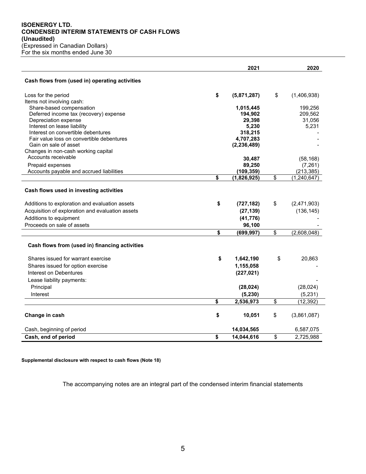#### **ISOENERGY LTD. CONDENSED INTERIM STATEMENTS OF CASH FLOWS (Unaudited)** (Expressed in Canadian Dollars) For the six months ended June 30

|                                                                                 | 2021                 | 2020                |
|---------------------------------------------------------------------------------|----------------------|---------------------|
| Cash flows from (used in) operating activities                                  |                      |                     |
| Loss for the period                                                             | \$<br>(5,871,287)    | \$<br>(1,406,938)   |
| Items not involving cash:<br>Share-based compensation                           | 1,015,445            | 199,256             |
| Deferred income tax (recovery) expense                                          | 194,902              | 209,562             |
| Depreciation expense                                                            | 29,398               | 31,056              |
| Interest on lease liability                                                     | 5,230                | 5,231               |
| Interest on convertible debentures<br>Fair value loss on convertible debentures | 318,215<br>4,707,283 |                     |
| Gain on sale of asset                                                           | (2, 236, 489)        |                     |
| Changes in non-cash working capital                                             |                      |                     |
| Accounts receivable                                                             | 30,487               | (58, 168)           |
| Prepaid expenses                                                                | 89,250               | (7, 261)            |
| Accounts payable and accrued liabilities                                        | (109, 359)           | (213, 385)          |
|                                                                                 | \$<br>(1,826,925)    | \$<br>(1, 240, 647) |
| Cash flows used in investing activities                                         |                      |                     |
| Additions to exploration and evaluation assets                                  | \$<br>(727, 182)     | \$<br>(2,471,903)   |
| Acquisition of exploration and evaluation assets                                | (27, 139)            | (136, 145)          |
| Additions to equipment                                                          | (41, 776)            |                     |
| Proceeds on sale of assets                                                      | 96,100               |                     |
|                                                                                 | \$<br>(699, 997)     | \$<br>(2,608,048)   |
| Cash flows from (used in) financing activities                                  |                      |                     |
| Shares issued for warrant exercise                                              | \$<br>1,642,190      | \$<br>20,863        |
| Shares issued for option exercise                                               | 1,155,058            |                     |
| Interest on Debentures                                                          | (227, 021)           |                     |
| Lease liability payments:                                                       |                      |                     |
| Principal                                                                       | (28, 024)            | (28, 024)           |
| Interest                                                                        | (5, 230)             | (5, 231)            |
|                                                                                 | \$<br>2,536,973      | \$<br>(12, 392)     |
| Change in cash                                                                  | \$<br>10,051         | \$<br>(3,861,087)   |
| Cash, beginning of period                                                       | 14,034,565           | 6,587,075           |
| Cash, end of period                                                             | \$<br>14,044,616     | \$<br>2,725,988     |

**Supplemental disclosure with respect to cash flows (Note 18)**

The accompanying notes are an integral part of the condensed interim financial statements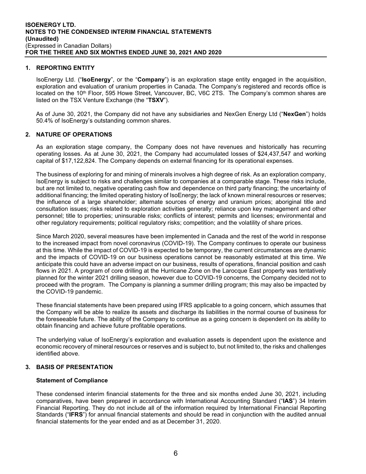#### **1. REPORTING ENTITY**

IsoEnergy Ltd. ("**IsoEnergy**", or the "**Company**") is an exploration stage entity engaged in the acquisition, exploration and evaluation of uranium properties in Canada. The Company's registered and records office is located on the 10<sup>th</sup> Floor, 595 Howe Street, Vancouver, BC, V6C 2TS. The Company's common shares are listed on the TSX Venture Exchange (the "**TSXV**").

As of June 30, 2021, the Company did not have any subsidiaries and NexGen Energy Ltd ("**NexGen**") holds 50.4% of IsoEnergy's outstanding common shares.

#### **2. NATURE OF OPERATIONS**

As an exploration stage company, the Company does not have revenues and historically has recurring operating losses. As at June 30, 2021, the Company had accumulated losses of \$24,437,547 and working capital of \$17,122,824. The Company depends on external financing for its operational expenses.

The business of exploring for and mining of minerals involves a high degree of risk. As an exploration company, IsoEnergy is subject to risks and challenges similar to companies at a comparable stage. These risks include, but are not limited to, negative operating cash flow and dependence on third party financing; the uncertainty of additional financing; the limited operating history of IsoEnergy; the lack of known mineral resources or reserves; the influence of a large shareholder; alternate sources of energy and uranium prices; aboriginal title and consultation issues; risks related to exploration activities generally; reliance upon key management and other personnel; title to properties; uninsurable risks; conflicts of interest; permits and licenses; environmental and other regulatory requirements; political regulatory risks; competition; and the volatility of share prices.

Since March 2020, several measures have been implemented in Canada and the rest of the world in response to the increased impact from novel coronavirus (COVID-19). The Company continues to operate our business at this time. While the impact of COVID-19 is expected to be temporary, the current circumstances are dynamic and the impacts of COVID-19 on our business operations cannot be reasonably estimated at this time. We anticipate this could have an adverse impact on our business, results of operations, financial position and cash flows in 2021. A program of core drilling at the Hurricane Zone on the Larocque East property was tentatively planned for the winter 2021 drilling season, however due to COVID-19 concerns, the Company decided not to proceed with the program. The Company is planning a summer drilling program; this may also be impacted by the COVID-19 pandemic.

These financial statements have been prepared using IFRS applicable to a going concern, which assumes that the Company will be able to realize its assets and discharge its liabilities in the normal course of business for the foreseeable future. The ability of the Company to continue as a going concern is dependent on its ability to obtain financing and achieve future profitable operations.

The underlying value of IsoEnergy's exploration and evaluation assets is dependent upon the existence and economic recovery of mineral resources or reserves and is subject to, but not limited to, the risks and challenges identified above.

#### **3. BASIS OF PRESENTATION**

#### **Statement of Compliance**

These condensed interim financial statements for the three and six months ended June 30, 2021, including comparatives, have been prepared in accordance with International Accounting Standard ("**IAS**") 34 Interim Financial Reporting. They do not include all of the information required by International Financial Reporting Standards ("**IFRS**") for annual financial statements and should be read in conjunction with the audited annual financial statements for the year ended and as at December 31, 2020.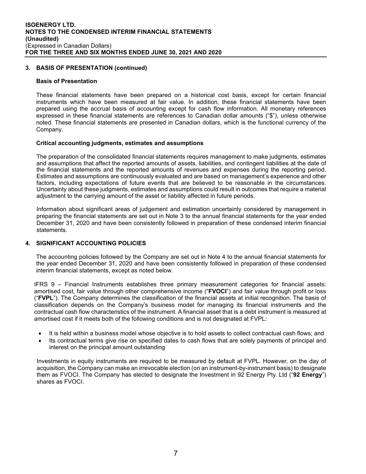#### **3. BASIS OF PRESENTATION (continued)**

#### **Basis of Presentation**

These financial statements have been prepared on a historical cost basis, except for certain financial instruments which have been measured at fair value. In addition, these financial statements have been prepared using the accrual basis of accounting except for cash flow information. All monetary references expressed in these financial statements are references to Canadian dollar amounts ("\$"), unless otherwise noted. These financial statements are presented in Canadian dollars, which is the functional currency of the Company.

#### **Critical accounting judgments, estimates and assumptions**

The preparation of the consolidated financial statements requires management to make judgments, estimates and assumptions that affect the reported amounts of assets, liabilities, and contingent liabilities at the date of the financial statements and the reported amounts of revenues and expenses during the reporting period. Estimates and assumptions are continuously evaluated and are based on management's experience and other factors, including expectations of future events that are believed to be reasonable in the circumstances. Uncertainty about these judgments, estimates and assumptions could result in outcomes that require a material adjustment to the carrying amount of the asset or liability affected in future periods.

Information about significant areas of judgement and estimation uncertainty considered by management in preparing the financial statements are set out in Note 3 to the annual financial statements for the year ended December 31, 2020 and have been consistently followed in preparation of these condensed interim financial statements.

#### **4. SIGNIFICANT ACCOUNTING POLICIES**

The accounting policies followed by the Company are set out in Note 4 to the annual financial statements for the year ended December 31, 2020 and have been consistently followed in preparation of these condensed interim financial statements, except as noted below.

IFRS 9 – Financial Instruments establishes three primary measurement categories for financial assets: amortised cost, fair value through other comprehensive income ("**FVOCI**") and fair value through profit or loss ("**FVPL**"). The Company determines the classification of the financial assets at initial recognition. The basis of classification depends on the Company's business model for managing its financial instruments and the contractual cash flow characteristics of the instrument. A financial asset that is a debt instrument is measured at amortised cost if it meets both of the following conditions and is not designated at FVPL:

- It is held within a business model whose objective is to hold assets to collect contractual cash flows; and
- Its contractual terms give rise on specified dates to cash flows that are solely payments of principal and interest on the principal amount outstanding

Investments in equity instruments are required to be measured by default at FVPL. However, on the day of acquisition, the Company can make an irrevocable election (on an instrument-by-instrument basis) to designate them as FVOCI. The Company has elected to designate the Investment in 92 Energy Pty. Ltd ("**92 Energy**") shares as FVOCI.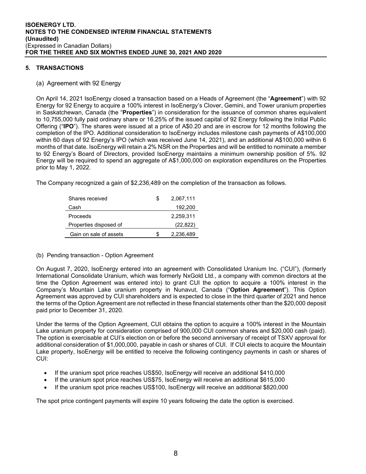## **5. TRANSACTIONS**

#### (a) Agreement with 92 Energy

On April 14, 2021 IsoEnergy closed a transaction based on a Heads of Agreement (the "**Agreement**") with 92 Energy for 92 Energy to acquire a 100% interest in IsoEnergy's Clover, Gemini, and Tower uranium properties in Saskatchewan, Canada (the "**Properties**") in consideration for the issuance of common shares equivalent to 10,755,000 fully paid ordinary share or 16.25% of the issued capital of 92 Energy following the Initial Public Offering ("**IPO**"). The shares were issued at a price of A\$0.20 and are in escrow for 12 months following the completion of the IPO. Additional consideration to IsoEnergy includes milestone cash payments of A\$100,000 within 60 days of 92 Energy's IPO (which was received June 14, 2021), and an additional A\$100,000 within 6 months of that date. IsoEnergy will retain a 2% NSR on the Properties and will be entitled to nominate a member to 92 Energy's Board of Directors, provided IsoEnergy maintains a minimum ownership position of 5%. 92 Energy will be required to spend an aggregate of A\$1,000,000 on exploration expenditures on the Properties prior to May 1, 2022.

The Company recognized a gain of \$2,236,489 on the completion of the transaction as follows.

| Shares received        | S | 2,067,111 |
|------------------------|---|-----------|
| Cash                   |   | 192,200   |
| Proceeds               |   | 2,259,311 |
| Properties disposed of |   | (22, 822) |
| Gain on sale of assets |   | 2,236,489 |

#### (b) Pending transaction - Option Agreement

On August 7, 2020, IsoEnergy entered into an agreement with Consolidated Uranium Inc. ("CUI"), (formerly International Consolidate Uranium, which was formerly NxGold Ltd., a company with common directors at the time the Option Agreement was entered into) to grant CUI the option to acquire a 100% interest in the Company's Mountain Lake uranium property in Nunavut, Canada ("**Option Agreement**"). This Option Agreement was approved by CUI shareholders and is expected to close in the third quarter of 2021 and hence the terms of the Option Agreement are not reflected in these financial statements other than the \$20,000 deposit paid prior to December 31, 2020.

Under the terms of the Option Agreement, CUI obtains the option to acquire a 100% interest in the Mountain Lake uranium property for consideration comprised of 900,000 CUI common shares and \$20,000 cash (paid). The option is exercisable at CUI's election on or before the second anniversary of receipt of TSXV approval for additional consideration of \$1,000,000, payable in cash or shares of CUI. If CUI elects to acquire the Mountain Lake property, IsoEnergy will be entitled to receive the following contingency payments in cash or shares of CUI:

- If the uranium spot price reaches US\$50, IsoEnergy will receive an additional \$410,000
- If the uranium spot price reaches US\$75, IsoEnergy will receive an additional \$615,000
- If the uranium spot price reaches US\$100, IsoEnergy will receive an additional \$820,000

The spot price contingent payments will expire 10 years following the date the option is exercised.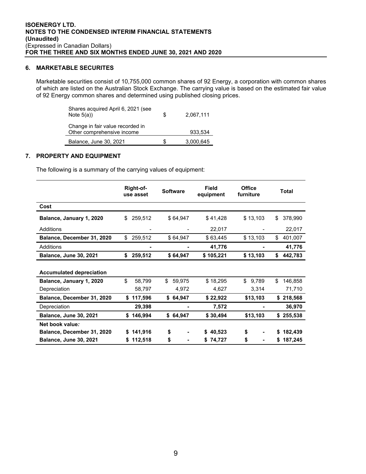#### **6. MARKETABLE SECURITES**

Marketable securities consist of 10,755,000 common shares of 92 Energy, a corporation with common shares of which are listed on the Australian Stock Exchange. The carrying value is based on the estimated fair value of 92 Energy common shares and determined using published closing prices.

| Shares acquired April 6, 2021 (see<br>Note $5(a)$ )            | S  | 2,067,111 |
|----------------------------------------------------------------|----|-----------|
| Change in fair value recorded in<br>Other comprehensive income |    | 933.534   |
| Balance, June 30, 2021                                         | S. | 3,000,645 |

# **7. PROPERTY AND EQUIPMENT**

The following is a summary of the carrying values of equipment:

|                                 | Right-of-<br>use asset | <b>Software</b> | Field<br>equipment | <b>Office</b><br>furniture | <b>Total</b>  |
|---------------------------------|------------------------|-----------------|--------------------|----------------------------|---------------|
| Cost                            |                        |                 |                    |                            |               |
| Balance, January 1, 2020        | 259,512<br>\$          | \$64,947        | \$41,428           | \$13,103                   | 378,990<br>\$ |
| Additions                       |                        |                 | 22,017             |                            | 22,017        |
| Balance, December 31, 2020      | \$<br>259,512          | \$64,947        | \$63,445           | \$13,103                   | \$<br>401,007 |
| Additions                       |                        |                 | 41,776             |                            | 41,776        |
| <b>Balance, June 30, 2021</b>   | \$<br>259,512          | \$64,947        | \$105,221          | \$13,103                   | \$<br>442,783 |
| <b>Accumulated depreciation</b> |                        |                 |                    |                            |               |
| Balance, January 1, 2020        | \$<br>58,799           | \$<br>59,975    | \$18,295           | \$<br>9,789                | \$<br>146,858 |
| Depreciation                    | 58,797                 | 4,972           | 4,627              | 3,314                      | 71,710        |
| Balance, December 31, 2020      | \$117,596              | \$64,947        | \$22,922           | \$13,103                   | \$218,568     |
| Depreciation                    | 29,398                 |                 | 7,572              |                            | 36,970        |
| <b>Balance, June 30, 2021</b>   | \$146,994              | \$64,947        | \$30,494           | \$13,103                   | 255,538<br>\$ |
| Net book value:                 |                        |                 |                    |                            |               |
| Balance, December 31, 2020      | 141,916                | \$              | 40,523<br>S.       | \$                         | 182,439<br>S  |
| <b>Balance, June 30, 2021</b>   | 112,518<br>S.          | \$              | \$74,727           | \$                         | 187,245<br>\$ |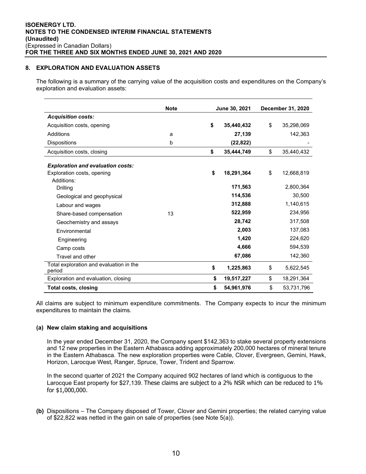#### **8. EXPLORATION AND EVALUATION ASSETS**

The following is a summary of the carrying value of the acquisition costs and expenditures on the Company's exploration and evaluation assets:

|                                                   | <b>Note</b> | June 30, 2021 |            | December 31, 2020 |            |
|---------------------------------------------------|-------------|---------------|------------|-------------------|------------|
| <b>Acquisition costs:</b>                         |             |               |            |                   |            |
| Acquisition costs, opening                        |             | \$            | 35.440.432 | \$                | 35,298,069 |
| Additions                                         | a           |               | 27,139     |                   | 142,363    |
| <b>Dispositions</b>                               | b           |               | (22, 822)  |                   |            |
| Acquisition costs, closing                        |             | \$            | 35,444,749 | \$                | 35,440,432 |
| <b>Exploration and evaluation costs:</b>          |             |               |            |                   |            |
| Exploration costs, opening                        |             | \$            | 18,291,364 | \$                | 12,668,819 |
| Additions:                                        |             |               |            |                   |            |
| Drilling                                          |             |               | 171,563    |                   | 2,800,364  |
| Geological and geophysical                        |             |               | 114,536    |                   | 30,500     |
| Labour and wages                                  |             |               | 312,888    |                   | 1,140,615  |
| Share-based compensation                          | 13          |               | 522,959    |                   | 234,956    |
| Geochemistry and assays                           |             |               | 28,742     |                   | 317,508    |
| Fnvironmental                                     |             |               | 2,003      |                   | 137,083    |
| Engineering                                       |             |               | 1,420      |                   | 224,620    |
| Camp costs                                        |             |               | 4,666      |                   | 594,539    |
| Travel and other                                  |             |               | 67,086     |                   | 142,360    |
| Total exploration and evaluation in the<br>period |             | \$            | 1,225,863  | \$                | 5,622,545  |
| Exploration and evaluation, closing               |             | \$            | 19,517,227 | \$                | 18,291,364 |
| <b>Total costs, closing</b>                       |             | \$            | 54,961,976 | \$                | 53,731,796 |

All claims are subject to minimum expenditure commitments. The Company expects to incur the minimum expenditures to maintain the claims.

# **(a) New claim staking and acquisitions**

In the year ended December 31, 2020, the Company spent \$142,363 to stake several property extensions and 12 new properties in the Eastern Athabasca adding approximately 200,000 hectares of mineral tenure in the Eastern Athabasca. The new exploration properties were Cable, Clover, Evergreen, Gemini, Hawk, Horizon, Larocque West, Ranger, Spruce, Tower, Trident and Sparrow.

In the second quarter of 2021 the Company acquired 902 hectares of land which is contiguous to the Larocque East property for \$27,139. These claims are subject to a 2% NSR which can be reduced to 1% for \$1,000,000.

**(b)** Dispositions – The Company disposed of Tower, Clover and Gemini properties; the related carrying value of \$22,822 was netted in the gain on sale of properties (see Note 5(a)).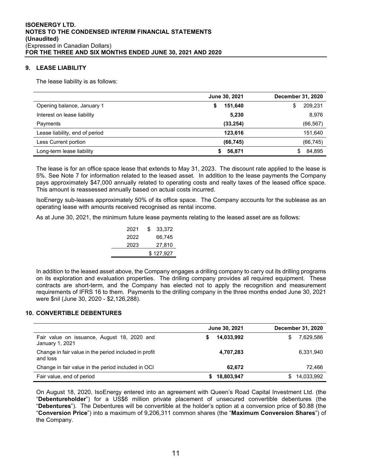## **9. LEASE LIABILITY**

The lease liability is as follows:

|                                | June 30, 2021 | <b>December 31, 2020</b> |
|--------------------------------|---------------|--------------------------|
| Opening balance, January 1     | 151,640<br>\$ | 209,231<br>\$            |
| Interest on lease liability    | 5,230         | 8,976                    |
| Payments                       | (33, 254)     | (66, 567)                |
| Lease liability, end of period | 123,616       | 151,640                  |
| Less Current portion           | (66, 745)     | (66, 745)                |
| Long-term lease liability      | 56,871        | 84,895<br>S              |

The lease is for an office space lease that extends to May 31, 2023. The discount rate applied to the lease is 5%. See Note 7 for information related to the leased asset. In addition to the lease payments the Company pays approximately \$47,000 annually related to operating costs and realty taxes of the leased office space. This amount is reassessed annually based on actual costs incurred.

IsoEnergy sub-leases approximately 50% of its office space. The Company accounts for the sublease as an operating lease with amounts received recognised as rental income.

As at June 30, 2021, the minimum future lease payments relating to the leased asset are as follows:

| S | 33.372    |
|---|-----------|
|   | 66.745    |
|   | 27,810    |
|   | \$127,927 |
|   |           |

In addition to the leased asset above, the Company engages a drilling company to carry out its drilling programs on its exploration and evaluation properties. The drilling company provides all required equipment. These contracts are short-term, and the Company has elected not to apply the recognition and measurement requirements of IFRS 16 to them. Payments to the drilling company in the three months ended June 30, 2021 were \$nil (June 30, 2020 - \$2,126,288).

#### **10. CONVERTIBLE DEBENTURES**

|                                                                   | June 30, 2021   | <b>December 31, 2020</b> |
|-------------------------------------------------------------------|-----------------|--------------------------|
| Fair value on issuance, August 18, 2020 and<br>January 1, 2021    | 14,033,992<br>S | 7,629,586                |
| Change in fair value in the period included in profit<br>and loss | 4,707,283       | 6,331,940                |
| Change in fair value in the period included in OCI                | 62.672          | 72.466                   |
| Fair value, end of period                                         | 18,803,947      | 14,033,992               |

On August 18, 2020, IsoEnergy entered into an agreement with Queen's Road Capital Investment Ltd. (the "**Debentureholder**") for a US\$6 million private placement of unsecured convertible debentures (the "**Debentures**"). The Debentures will be convertible at the holder's option at a conversion price of \$0.88 (the "**Conversion Price**") into a maximum of 9,206,311 common shares (the "**Maximum Conversion Shares**") of the Company.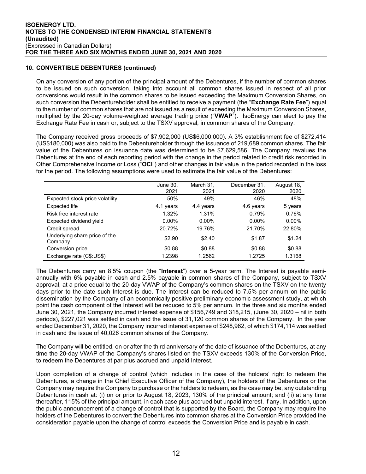# **10. CONVERTIBLE DEBENTURES (continued)**

On any conversion of any portion of the principal amount of the Debentures, if the number of common shares to be issued on such conversion, taking into account all common shares issued in respect of all prior conversions would result in the common shares to be issued exceeding the Maximum Conversion Shares, on such conversion the Debentureholder shall be entitled to receive a payment (the "**Exchange Rate Fee**") equal to the number of common shares that are not issued as a result of exceeding the Maximum Conversion Shares, multiplied by the 20-day volume-weighted average trading price ("**VWAP**"). IsoEnergy can elect to pay the Exchange Rate Fee in cash or, subject to the TSXV approval, in common shares of the Company.

The Company received gross proceeds of \$7,902,000 (US\$6,000,000). A 3% establishment fee of \$272,414 (US\$180,000) was also paid to the Debentureholder through the issuance of 219,689 common shares. The fair value of the Debentures on issuance date was determined to be \$7,629,586. The Company revalues the Debentures at the end of each reporting period with the change in the period related to credit risk recorded in Other Comprehensive Income or Loss ("**OCI**") and other changes in fair value in the period recorded in the loss for the period. The following assumptions were used to estimate the fair value of the Debentures:

|                                          | June 30.<br>2021 | March 31.<br>2021 | December 31,<br>2020 | August 18,<br>2020 |
|------------------------------------------|------------------|-------------------|----------------------|--------------------|
| Expected stock price volatility          | 50%              | 49%               | 46%                  | 48%                |
| <b>Expected life</b>                     | 4.1 years        | 4.4 years         | 4.6 years            | 5 years            |
| Risk free interest rate                  | 1.32%            | 1.31%             | 0.79%                | 0.76%              |
| Expected dividend yield                  | $0.00\%$         | $0.00\%$          | $0.00\%$             | $0.00\%$           |
| Credit spread                            | 20.72%           | 19.76%            | 21.70%               | 22.80%             |
| Underlying share price of the<br>Company | \$2.90           | \$2.40            | \$1.87               | \$1.24             |
| Conversion price                         | \$0.88           | \$0.88            | \$0.88               | \$0.88             |
| Exchange rate (C\$:US\$)                 | 1.2398           | 1.2562            | 1.2725               | 1.3168             |

The Debentures carry an 8.5% coupon (the "**Interest**") over a 5-year term. The Interest is payable semiannually with 6% payable in cash and 2.5% payable in common shares of the Company, subject to TSXV approval, at a price equal to the 20-day VWAP of the Company's common shares on the TSXV on the twenty days prior to the date such Interest is due. The Interest can be reduced to 7.5% per annum on the public dissemination by the Company of an economically positive preliminary economic assessment study, at which point the cash component of the Interest will be reduced to 5% per annum. In the three and six months ended June 30, 2021, the Company incurred interest expense of \$156,749 and 318,215, (June 30, 2020 – nil in both periods), \$227,021 was settled in cash and the issue of 31,120 common shares of the Company. In the year ended December 31, 2020, the Company incurred interest expense of \$248,962, of which \$174,114 was settled in cash and the issue of 40,026 common shares of the Company.

The Company will be entitled, on or after the third anniversary of the date of issuance of the Debentures, at any time the 20-day VWAP of the Company's shares listed on the TSXV exceeds 130% of the Conversion Price, to redeem the Debentures at par plus accrued and unpaid Interest.

Upon completion of a change of control (which includes in the case of the holders' right to redeem the Debentures, a change in the Chief Executive Officer of the Company), the holders of the Debentures or the Company may require the Company to purchase or the holders to redeem, as the case may be, any outstanding Debentures in cash at: (i) on or prior to August 18, 2023, 130% of the principal amount; and (ii) at any time thereafter, 115% of the principal amount, in each case plus accrued but unpaid interest, if any. In addition, upon the public announcement of a change of control that is supported by the Board, the Company may require the holders of the Debentures to convert the Debentures into common shares at the Conversion Price provided the consideration payable upon the change of control exceeds the Conversion Price and is payable in cash.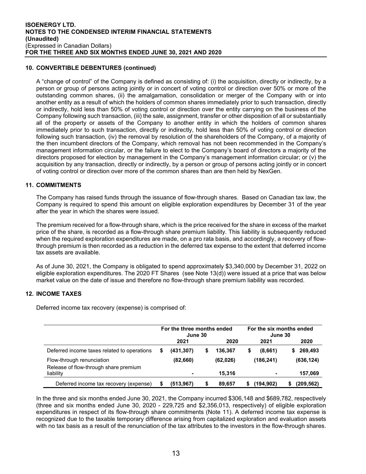#### **10. CONVERTIBLE DEBENTURES (continued)**

A "change of control" of the Company is defined as consisting of: (i) the acquisition, directly or indirectly, by a person or group of persons acting jointly or in concert of voting control or direction over 50% or more of the outstanding common shares, (ii) the amalgamation, consolidation or merger of the Company with or into another entity as a result of which the holders of common shares immediately prior to such transaction, directly or indirectly, hold less than 50% of voting control or direction over the entity carrying on the business of the Company following such transaction, (iii) the sale, assignment, transfer or other disposition of all or substantially all of the property or assets of the Company to another entity in which the holders of common shares immediately prior to such transaction, directly or indirectly, hold less than 50% of voting control or direction following such transaction, (iv) the removal by resolution of the shareholders of the Company, of a majority of the then incumbent directors of the Company, which removal has not been recommended in the Company's management information circular, or the failure to elect to the Company's board of directors a majority of the directors proposed for election by management in the Company's management information circular; or (v) the acquisition by any transaction, directly or indirectly, by a person or group of persons acting jointly or in concert of voting control or direction over more of the common shares than are then held by NexGen.

#### **11. COMMITMENTS**

The Company has raised funds through the issuance of flow-through shares. Based on Canadian tax law, the Company is required to spend this amount on eligible exploration expenditures by December 31 of the year after the year in which the shares were issued.

The premium received for a flow-through share, which is the price received for the share in excess of the market price of the share, is recorded as a flow-through share premium liability. This liability is subsequently reduced when the required exploration expenditures are made, on a pro rata basis, and accordingly, a recovery of flowthrough premium is then recorded as a reduction in the deferred tax expense to the extent that deferred income tax assets are available.

As of June 30, 2021, the Company is obligated to spend approximately \$3,340,000 by December 31, 2022 on eligible exploration expenditures. The 2020 FT Shares (see Note 13(d)) were issued at a price that was below market value on the date of issue and therefore no flow-through share premium liability was recorded.

# **12. INCOME TAXES**

Deferred income tax recovery (expense) is comprised of:

|                                                                    | For the three months ended<br>June 30 |            |   | For the six months ended<br>June 30 |   |                          |  |               |
|--------------------------------------------------------------------|---------------------------------------|------------|---|-------------------------------------|---|--------------------------|--|---------------|
|                                                                    |                                       | 2021       |   | 2020                                |   | 2021                     |  | 2020          |
| Deferred income taxes related to operations                        | S                                     | (431, 307) | S | 136.367                             | S | (8,661)                  |  | 269,493<br>S. |
| Flow-through renunciation<br>Release of flow-through share premium |                                       | (82,660)   |   | (62, 026)                           |   | (186, 241)               |  | (636, 124)    |
| liability                                                          |                                       |            |   | 15.316                              |   | $\overline{\phantom{a}}$ |  | 157,069       |
| Deferred income tax recovery (expense)                             |                                       | (513, 967) |   | 89.657                              |   | (194,902)                |  | (209,562)     |

In the three and six months ended June 30, 2021, the Company incurred \$306,148 and \$689,782, respectively (three and six months ended June 30, 2020 - 229,725 and \$2,356,013, respectively) of eligible exploration expenditures in respect of its flow-through share commitments (Note 11). A deferred income tax expense is recognized due to the taxable temporary difference arising from capitalized exploration and evaluation assets with no tax basis as a result of the renunciation of the tax attributes to the investors in the flow-through shares.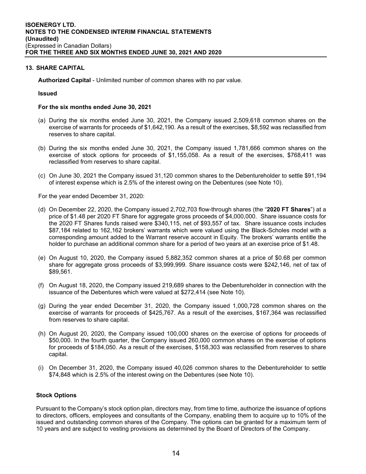#### **13. SHARE CAPITAL**

**Authorized Capital** - Unlimited number of common shares with no par value.

#### **Issued**

#### **For the six months ended June 30, 2021**

- (a) During the six months ended June 30, 2021, the Company issued 2,509,618 common shares on the exercise of warrants for proceeds of \$1,642,190. As a result of the exercises, \$8,592 was reclassified from reserves to share capital.
- (b) During the six months ended June 30, 2021, the Company issued 1,781,666 common shares on the exercise of stock options for proceeds of \$1,155,058. As a result of the exercises, \$768,411 was reclassified from reserves to share capital.
- (c) On June 30, 2021 the Company issued 31,120 common shares to the Debentureholder to settle \$91,194 of interest expense which is 2.5% of the interest owing on the Debentures (see Note 10).

For the year ended December 31, 2020:

- (d) On December 22, 2020, the Company issued 2,702,703 flow-through shares (the "**2020 FT Shares**") at a price of \$1.48 per 2020 FT Share for aggregate gross proceeds of \$4,000,000. Share issuance costs for the 2020 FT Shares funds raised were \$340,115, net of \$93,557 of tax. Share issuance costs includes \$87,184 related to 162,162 brokers' warrants which were valued using the Black-Scholes model with a corresponding amount added to the Warrant reserve account in Equity. The brokers' warrants entitle the holder to purchase an additional common share for a period of two years at an exercise price of \$1.48.
- (e) On August 10, 2020, the Company issued 5,882,352 common shares at a price of \$0.68 per common share for aggregate gross proceeds of \$3,999,999. Share issuance costs were \$242,146, net of tax of \$89,561.
- (f) On August 18, 2020, the Company issued 219,689 shares to the Debentureholder in connection with the issuance of the Debentures which were valued at \$272,414 (see Note 10).
- (g) During the year ended December 31, 2020, the Company issued 1,000,728 common shares on the exercise of warrants for proceeds of \$425,767. As a result of the exercises, \$167,364 was reclassified from reserves to share capital.
- (h) On August 20, 2020, the Company issued 100,000 shares on the exercise of options for proceeds of \$50,000. In the fourth quarter, the Company issued 260,000 common shares on the exercise of options for proceeds of \$184,050. As a result of the exercises, \$158,303 was reclassified from reserves to share capital.
- (i) On December 31, 2020, the Company issued 40,026 common shares to the Debentureholder to settle \$74,848 which is 2.5% of the interest owing on the Debentures (see Note 10).

#### **Stock Options**

Pursuant to the Company's stock option plan, directors may, from time to time, authorize the issuance of options to directors, officers, employees and consultants of the Company, enabling them to acquire up to 10% of the issued and outstanding common shares of the Company. The options can be granted for a maximum term of 10 years and are subject to vesting provisions as determined by the Board of Directors of the Company.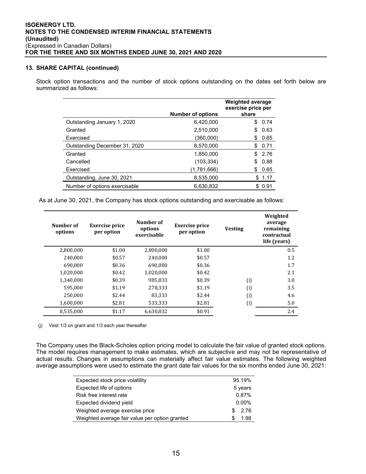#### **13. SHARE CAPITAL (continued)**

Stock option transactions and the number of stock options outstanding on the dates set forth below are summarized as follows:

|                               | <b>Number of options</b> | <b>Weighted average</b><br>exercise price per<br>share |
|-------------------------------|--------------------------|--------------------------------------------------------|
| Outstanding January 1, 2020   | 6.420.000                | 0.74<br>S                                              |
| Granted                       | 2,510,000                | 0.63<br>\$                                             |
| Exercised                     | (360,000)                | 0.65<br>S                                              |
| Outstanding December 31, 2020 | 8,570,000                | 0.71<br>S.                                             |
| Granted                       | 1.850.000                | \$2.76                                                 |
| Cancelled                     | (103, 334)               | 0.88<br>\$                                             |
| Exercised                     | (1,781,666)              | 0.65<br>S                                              |
| Outstanding, June 30, 2021    | 8,535,000                | 1.17<br>\$                                             |
| Number of options exercisable | 6.630.832                | \$ 0.91                                                |

As at June 30, 2021, the Company has stock options outstanding and exercisable as follows:

| Number of<br>options | <b>Exercise price</b><br>per option | Number of<br>options<br>exercisable | <b>Exercise price</b><br>per option | <b>Vesting</b> | Weighted<br>average<br>remaining<br>contractual<br>life (vears) |
|----------------------|-------------------------------------|-------------------------------------|-------------------------------------|----------------|-----------------------------------------------------------------|
| 2,800,000            | \$1.00                              | 2,800,000                           | \$1.00                              |                | 0.5                                                             |
| 240,000              | \$0.57                              | 240.000                             | \$0.57                              |                | 1.2                                                             |
| 690.000              | \$0.36                              | 690.000                             | \$0.36                              |                | 1.7                                                             |
| 1,020,000            | \$0.42                              | 1.020.000                           | \$0.42                              |                | 2.1                                                             |
| 1,340,000            | \$0.39                              | 985,833                             | \$0.39                              | (i)            | 3.0                                                             |
| 595.000              | \$1.19                              | 278,333                             | \$1.19                              | (i)            | 3.5                                                             |
| 250.000              | \$2.44                              | 83,333                              | \$2.44                              | (i)            | 4.6                                                             |
| 1,600,000            | \$2.81                              | 533,333                             | \$2.81                              | (i)            | 5.0                                                             |
| 8,535,000            | \$1.17                              | 6,630,832                           | \$0.91                              |                | 2.4                                                             |

(j) Vest 1/3 on grant and 1/3 each year thereafter

The Company uses the Black-Scholes option pricing model to calculate the fair value of granted stock options. The model requires management to make estimates, which are subjective and may not be representative of actual results. Changes in assumptions can materially affect fair value estimates. The following weighted average assumptions were used to estimate the grant date fair values for the six months ended June 30, 2021:

| Expected stock price volatility                | 95.19%   |
|------------------------------------------------|----------|
| Expected life of options                       | 5 years  |
| Risk free interest rate                        | 0.87%    |
| Expected dividend yield                        | $0.00\%$ |
| Weighted average exercise price                | 2.76     |
| Weighted average fair value per option granted | 1.98     |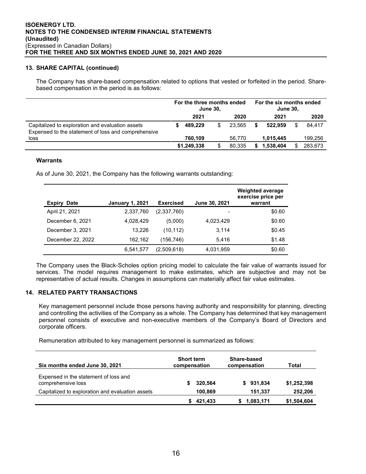#### **13. SHARE CAPITAL (continued)**

The Company has share-based compensation related to options that vested or forfeited in the period. Sharebased compensation in the period is as follows:

|                                                                                                         | For the three months ended<br><b>June 30.</b> |             |    | For the six months ended<br><b>June 30,</b> |   |           |  |         |
|---------------------------------------------------------------------------------------------------------|-----------------------------------------------|-------------|----|---------------------------------------------|---|-----------|--|---------|
|                                                                                                         |                                               | 2021        |    | 2020                                        |   | 2021      |  | 2020    |
| Capitalized to exploration and evaluation assets<br>Expensed to the statement of loss and comprehensive |                                               | 489.229     | \$ | 23.565                                      |   | 522.959   |  | 84.417  |
| loss                                                                                                    |                                               | 760.109     |    | 56.770                                      |   | 1.015.445 |  | 199,256 |
|                                                                                                         |                                               | \$1,249,338 | \$ | 80.335                                      | S | 1.538.404 |  | 283,673 |

#### **Warrants**

As of June 30, 2021, the Company has the following warrants outstanding:

| <b>Expiry</b><br><b>Date</b> | <b>January 1, 2021</b> | <b>Exercised</b> | June 30, 2021 | <b>Weighted average</b><br>exercise price per<br>warrant |
|------------------------------|------------------------|------------------|---------------|----------------------------------------------------------|
| April 21, 2021               | 2,337,760              | (2,337,760)      |               | \$0.60                                                   |
| December 6, 2021             | 4.028.429              | (5,000)          | 4,023,429     | \$0.60                                                   |
| December 3, 2021             | 13.226                 | (10, 112)        | 3.114         | \$0.45                                                   |
| December 22, 2022            | 162.162                | (156,746)        | 5.416         | \$1.48                                                   |
|                              | 6,541,577              | (2,509,618)      | 4,031,959     | \$0.60                                                   |

The Company uses the Black-Scholes option pricing model to calculate the fair value of warrants issued for services. The model requires management to make estimates, which are subjective and may not be representative of actual results. Changes in assumptions can materially affect fair value estimates.

# **14. RELATED PARTY TRANSACTIONS**

Key management personnel include those persons having authority and responsibility for planning, directing and controlling the activities of the Company as a whole. The Company has determined that key management personnel consists of executive and non-executive members of the Company's Board of Directors and corporate officers.

Remuneration attributed to key management personnel is summarized as follows:

| Six months ended June 30, 2021                              | <b>Short term</b><br>compensation | Share-based<br>compensation | Total       |
|-------------------------------------------------------------|-----------------------------------|-----------------------------|-------------|
| Expensed in the statement of loss and<br>comprehensive loss | 320,564                           | \$931,834                   | \$1,252,398 |
| Capitalized to exploration and evaluation assets            | 100,869                           | 151,337                     | 252,206     |
|                                                             | 421,433                           | 1,083,171                   | \$1,504,604 |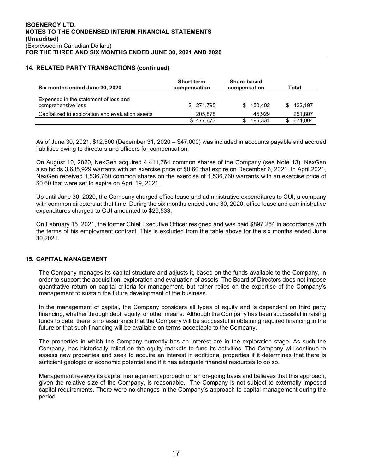#### **14. RELATED PARTY TRANSACTIONS (continued)**

| Six months ended June 30, 2020                              | <b>Short term</b><br>compensation |                |           |
|-------------------------------------------------------------|-----------------------------------|----------------|-----------|
| Expensed in the statement of loss and<br>comprehensive loss | \$ 271.795                        | 150.402<br>\$. | \$422.197 |
| Capitalized to exploration and evaluation assets            | 205,878                           | 45.929         | 251,807   |
|                                                             | \$477.673                         | 196,331        | 674,004   |

As of June 30, 2021, \$12,500 (December 31, 2020 – \$47,000) was included in accounts payable and accrued liabilities owing to directors and officers for compensation.

On August 10, 2020, NexGen acquired 4,411,764 common shares of the Company (see Note 13). NexGen also holds 3,685,929 warrants with an exercise price of \$0.60 that expire on December 6, 2021. In April 2021, NexGen received 1,536,760 common shares on the exercise of 1,536,760 warrants with an exercise price of \$0.60 that were set to expire on April 19, 2021.

Up until June 30, 2020, the Company charged office lease and administrative expenditures to CUI, a company with common directors at that time. During the six months ended June 30, 2020, office lease and administrative expenditures charged to CUI amounted to \$26,533.

On February 15, 2021, the former Chief Executive Officer resigned and was paid \$897,254 in accordance with the terms of his employment contract. This is excluded from the table above for the six months ended June 30,2021.

#### **15. CAPITAL MANAGEMENT**

The Company manages its capital structure and adjusts it, based on the funds available to the Company, in order to support the acquisition, exploration and evaluation of assets. The Board of Directors does not impose quantitative return on capital criteria for management, but rather relies on the expertise of the Company's management to sustain the future development of the business.

In the management of capital, the Company considers all types of equity and is dependent on third party financing, whether through debt, equity, or other means. Although the Company has been successful in raising funds to date, there is no assurance that the Company will be successful in obtaining required financing in the future or that such financing will be available on terms acceptable to the Company.

The properties in which the Company currently has an interest are in the exploration stage. As such the Company, has historically relied on the equity markets to fund its activities. The Company will continue to assess new properties and seek to acquire an interest in additional properties if it determines that there is sufficient geologic or economic potential and if it has adequate financial resources to do so.

Management reviews its capital management approach on an on-going basis and believes that this approach, given the relative size of the Company, is reasonable. The Company is not subject to externally imposed capital requirements. There were no changes in the Company's approach to capital management during the period.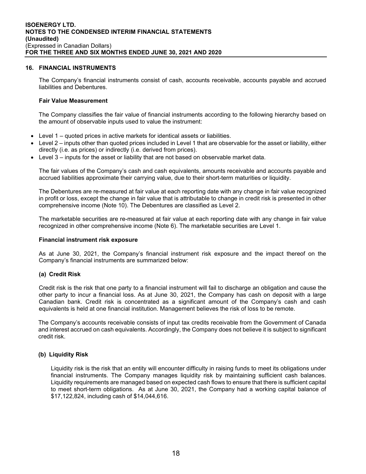#### **16. FINANCIAL INSTRUMENTS**

The Company's financial instruments consist of cash, accounts receivable, accounts payable and accrued liabilities and Debentures.

#### **Fair Value Measurement**

The Company classifies the fair value of financial instruments according to the following hierarchy based on the amount of observable inputs used to value the instrument:

- Level 1 quoted prices in active markets for identical assets or liabilities.
- Level 2 inputs other than quoted prices included in Level 1 that are observable for the asset or liability, either directly (i.e. as prices) or indirectly (i.e. derived from prices).
- Level 3 inputs for the asset or liability that are not based on observable market data.

The fair values of the Company's cash and cash equivalents, amounts receivable and accounts payable and accrued liabilities approximate their carrying value, due to their short-term maturities or liquidity.

The Debentures are re-measured at fair value at each reporting date with any change in fair value recognized in profit or loss, except the change in fair value that is attributable to change in credit risk is presented in other comprehensive income (Note 10). The Debentures are classified as Level 2.

The marketable securities are re-measured at fair value at each reporting date with any change in fair value recognized in other comprehensive income (Note 6). The marketable securities are Level 1.

#### **Financial instrument risk exposure**

As at June 30, 2021, the Company's financial instrument risk exposure and the impact thereof on the Company's financial instruments are summarized below:

#### **(a) Credit Risk**

Credit risk is the risk that one party to a financial instrument will fail to discharge an obligation and cause the other party to incur a financial loss. As at June 30, 2021, the Company has cash on deposit with a large Canadian bank. Credit risk is concentrated as a significant amount of the Company's cash and cash equivalents is held at one financial institution. Management believes the risk of loss to be remote.

The Company's accounts receivable consists of input tax credits receivable from the Government of Canada and interest accrued on cash equivalents. Accordingly, the Company does not believe it is subject to significant credit risk.

#### **(b) Liquidity Risk**

Liquidity risk is the risk that an entity will encounter difficulty in raising funds to meet its obligations under financial instruments. The Company manages liquidity risk by maintaining sufficient cash balances. Liquidity requirements are managed based on expected cash flows to ensure that there is sufficient capital to meet short-term obligations. As at June 30, 2021, the Company had a working capital balance of \$17,122,824, including cash of \$14,044,616.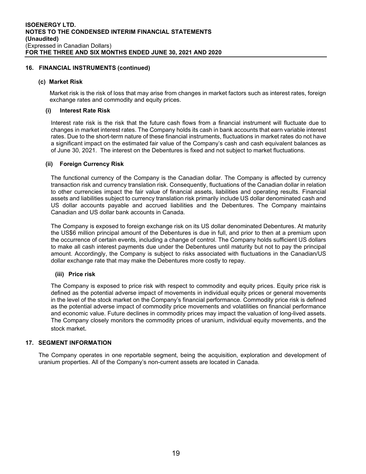#### **16. FINANCIAL INSTRUMENTS (continued)**

#### **(c) Market Risk**

Market risk is the risk of loss that may arise from changes in market factors such as interest rates, foreign exchange rates and commodity and equity prices.

#### **(i) Interest Rate Risk**

Interest rate risk is the risk that the future cash flows from a financial instrument will fluctuate due to changes in market interest rates. The Company holds its cash in bank accounts that earn variable interest rates. Due to the short-term nature of these financial instruments, fluctuations in market rates do not have a significant impact on the estimated fair value of the Company's cash and cash equivalent balances as of June 30, 2021. The interest on the Debentures is fixed and not subject to market fluctuations.

#### **(ii) Foreign Currency Risk**

The functional currency of the Company is the Canadian dollar. The Company is affected by currency transaction risk and currency translation risk. Consequently, fluctuations of the Canadian dollar in relation to other currencies impact the fair value of financial assets, liabilities and operating results. Financial assets and liabilities subject to currency translation risk primarily include US dollar denominated cash and US dollar accounts payable and accrued liabilities and the Debentures. The Company maintains Canadian and US dollar bank accounts in Canada.

The Company is exposed to foreign exchange risk on its US dollar denominated Debentures. At maturity the US\$6 million principal amount of the Debentures is due in full, and prior to then at a premium upon the occurrence of certain events, including a change of control. The Company holds sufficient US dollars to make all cash interest payments due under the Debentures until maturity but not to pay the principal amount. Accordingly, the Company is subject to risks associated with fluctuations in the Canadian/US dollar exchange rate that may make the Debentures more costly to repay.

#### **(iii) Price risk**

The Company is exposed to price risk with respect to commodity and equity prices. Equity price risk is defined as the potential adverse impact of movements in individual equity prices or general movements in the level of the stock market on the Company's financial performance. Commodity price risk is defined as the potential adverse impact of commodity price movements and volatilities on financial performance and economic value. Future declines in commodity prices may impact the valuation of long-lived assets. The Company closely monitors the commodity prices of uranium, individual equity movements, and the stock market.

#### **17. SEGMENT INFORMATION**

The Company operates in one reportable segment, being the acquisition, exploration and development of uranium properties. All of the Company's non-current assets are located in Canada.